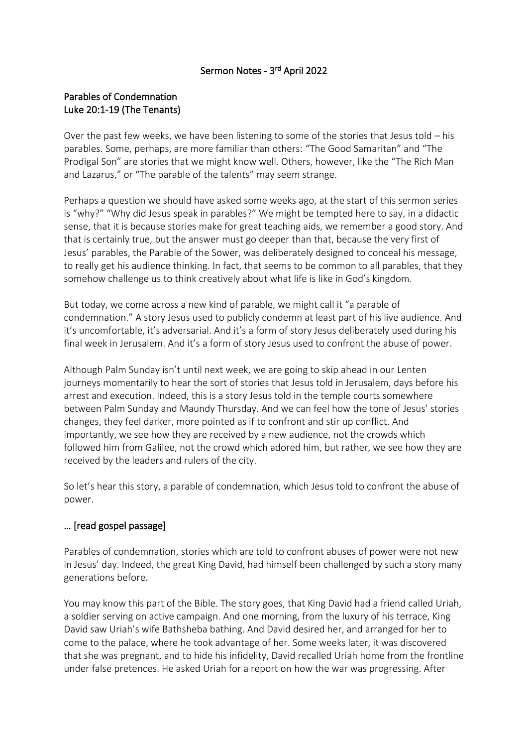## Sermon Notes - 3<sup>rd</sup> April 2022

## Parables of Condemnation Luke 20:1-19 (The Tenants)

Over the past few weeks, we have been listening to some of the stories that Jesus told – his parables. Some, perhaps, are more familiar than others: "The Good Samaritan" and "The Prodigal Son" are stories that we might know well. Others, however, like the "The Rich Man and Lazarus," or "The parable of the talents" may seem strange.

Perhaps a question we should have asked some weeks ago, at the start of this sermon series is "why?" "Why did Jesus speak in parables?" We might be tempted here to say, in a didactic sense, that it is because stories make for great teaching aids, we remember a good story. And that is certainly true, but the answer must go deeper than that, because the very first of Jesus' parables, the Parable of the Sower, was deliberately designed to conceal his message, to really get his audience thinking. In fact, that seems to be common to all parables, that they somehow challenge us to think creatively about what life is like in God's kingdom.

But today, we come across a new kind of parable, we might call it "a parable of condemnation." A story Jesus used to publicly condemn at least part of his live audience. And it's uncomfortable, it's adversarial. And it's a form of story Jesus deliberately used during his final week in Jerusalem. And it's a form of story Jesus used to confront the abuse of power.

Although Palm Sunday isn't until next week, we are going to skip ahead in our Lenten journeys momentarily to hear the sort of stories that Jesus told in Jerusalem, days before his arrest and execution. Indeed, this is a story Jesus told in the temple courts somewhere between Palm Sunday and Maundy Thursday. And we can feel how the tone of Jesus' stories changes, they feel darker, more pointed as if to confront and stir up conflict. And importantly, we see how they are received by a new audience, not the crowds which followed him from Galilee, not the crowd which adored him, but rather, we see how they are received by the leaders and rulers of the city.

So let's hear this story, a parable of condemnation, which Jesus told to confront the abuse of power.

## … [read gospel passage]

Parables of condemnation, stories which are told to confront abuses of power were not new in Jesus' day. Indeed, the great King David, had himself been challenged by such a story many generations before.

You may know this part of the Bible. The story goes, that King David had a friend called Uriah, a soldier serving on active campaign. And one morning, from the luxury of his terrace, King David saw Uriah's wife Bathsheba bathing. And David desired her, and arranged for her to come to the palace, where he took advantage of her. Some weeks later, it was discovered that she was pregnant, and to hide his infidelity, David recalled Uriah home from the frontline under false pretences. He asked Uriah for a report on how the war was progressing. After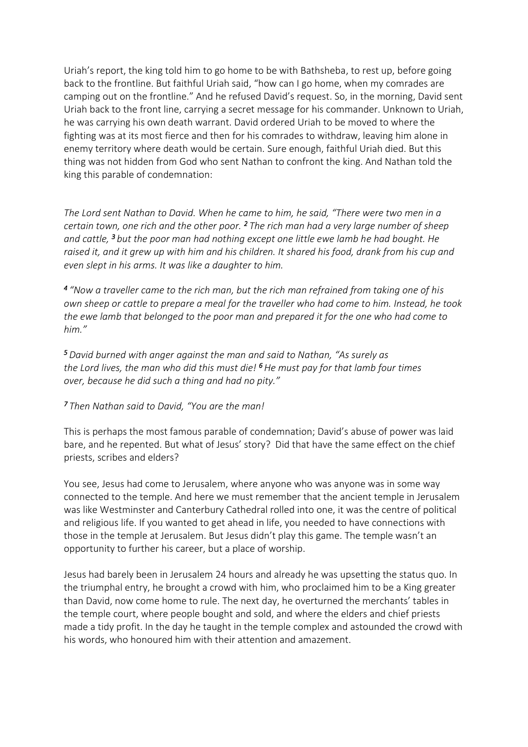Uriah's report, the king told him to go home to be with Bathsheba, to rest up, before going back to the frontline. But faithful Uriah said, "how can I go home, when my comrades are camping out on the frontline." And he refused David's request. So, in the morning, David sent Uriah back to the front line, carrying a secret message for his commander. Unknown to Uriah, he was carrying his own death warrant. David ordered Uriah to be moved to where the fighting was at its most fierce and then for his comrades to withdraw, leaving him alone in enemy territory where death would be certain. Sure enough, faithful Uriah died. But this thing was not hidden from God who sent Nathan to confront the king. And Nathan told the king this parable of condemnation:

*The Lord sent Nathan to David. When he came to him, he said, "There were two men in a certain town, one rich and the other poor. <sup>2</sup>The rich man had a very large number of sheep and cattle, <sup>3</sup>but the poor man had nothing except one little ewe lamb he had bought. He raised it, and it grew up with him and his children. It shared his food, drank from his cup and even slept in his arms. It was like a daughter to him.*

*4 "Now a traveller came to the rich man, but the rich man refrained from taking one of his own sheep or cattle to prepare a meal for the traveller who had come to him. Instead, he took the ewe lamb that belonged to the poor man and prepared it for the one who had come to him."*

*<sup>5</sup>David burned with anger against the man and said to Nathan, "As surely as the Lord lives, the man who did this must die! <sup>6</sup>He must pay for that lamb four times over, because he did such a thing and had no pity."*

## *<sup>7</sup>Then Nathan said to David, "You are the man!*

This is perhaps the most famous parable of condemnation; David's abuse of power was laid bare, and he repented. But what of Jesus' story? Did that have the same effect on the chief priests, scribes and elders?

You see, Jesus had come to Jerusalem, where anyone who was anyone was in some way connected to the temple. And here we must remember that the ancient temple in Jerusalem was like Westminster and Canterbury Cathedral rolled into one, it was the centre of political and religious life. If you wanted to get ahead in life, you needed to have connections with those in the temple at Jerusalem. But Jesus didn't play this game. The temple wasn't an opportunity to further his career, but a place of worship.

Jesus had barely been in Jerusalem 24 hours and already he was upsetting the status quo. In the triumphal entry, he brought a crowd with him, who proclaimed him to be a King greater than David, now come home to rule. The next day, he overturned the merchants' tables in the temple court, where people bought and sold, and where the elders and chief priests made a tidy profit. In the day he taught in the temple complex and astounded the crowd with his words, who honoured him with their attention and amazement.